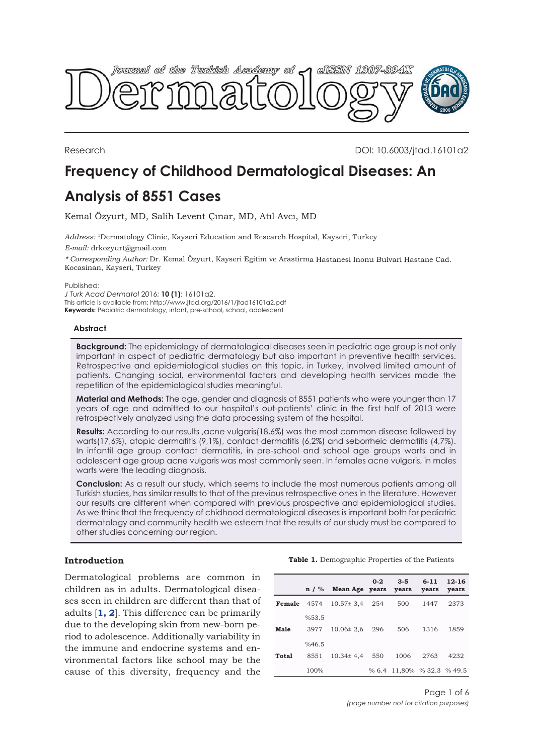<span id="page-0-0"></span>

Research DOI: 10.6003/jtad.16101a2

# **Frequency of Childhood Dermatological Diseases: An**

## **Analysis of 8551 Cases**

Kemal Özyurt, MD, Salih Levent Çınar, MD, Atıl Avcı, MD

*Address:* <sup>1</sup>Dermatology Clinic, Kayseri Education and Research Hospital, Kayseri, Turkey *E-mail:* drkozyurt@gmail.com

*\* Corresponding Author:* Dr. Kemal Özyurt, Kayseri Egitim ve Arastirma Hastanesi Inonu Bulvari Hastane Cad. Kocasinan, Kayseri, Turkey

Published:

*J Turk Acad Dermatol* 2016; **10 (1)**: 16101a2. This article is available from: http://www.jtad.org/2016/1/jtad16101a2.pdf **Keywords:** Pediatric dermatology, infant, pre-school, school, adolescent

## **Abstract**

**Background:** The epidemiology of dermatological diseases seen in pediatric age group is not only important in aspect of pediatric dermatology but also important in preventive health services. Retrospective and epidemiological studies on this topic, in Turkey, involved limited amount of patients. Changing social, environmental factors and developing health services made the repetition of the epidemiological studies meaningful.

**Material and Methods:** The age, gender and diagnosis of 8551 patients who were younger than 17 years of age and admitted to our hospital's out-patients' clinic in the first half of 2013 were retrospectively analyzed using the data processing system of the hospital.

Results: According to our results , acne vulgaris(18,6%) was the most common disease followed by warts(17,6%), atopic dermatitis (9,1%), contact dermatitis (6,2%) and seborrheic dermatitis (4,7%). In infantil age group contact dermatitis, in pre-school and school age groups warts and in adolescent age group acne vulgaris was most commonly seen. In females acne vulgaris, in males warts were the leading diagnosis.

**Conclusion:** As a result our study, which seems to include the most numerous patients among all Turkish studies, has similar results to that of the previous retrospective ones in the literature. However our results are different when compared with previous prospective and epidemiological studies. As we think that the frequency of chidhood dermatological diseases is important both for pediatric dermatology and community health we esteem that the results of our study must be compared to other studies concerning our region.

## **Introduction**

Dermatological problems are common in children as in adults. Dermatological diseases seen in children are different than that of adults [**[1, 2](#page-5-0)**]. This difference can be primarily due to the developing skin from new-born period to adolescence. Additionally variability in the immune and endocrine systems and environmental factors like school may be the cause of this diversity, frequency and the

**Table 1.** Demographic Properties of the Patients

|       |       | $n / %$ Mean Age years years             | $0 - 2$ | $3 - 5$                    | $6 - 11$<br>years | 12-16<br>years |
|-------|-------|------------------------------------------|---------|----------------------------|-------------------|----------------|
|       |       | <b>Female</b> $4574$ $10.57 \pm 3.4$ 254 |         | 500                        | 1447              | 2373           |
|       | %53.5 |                                          |         |                            |                   |                |
| Male  | 3977  | $10.06 \pm 2.6$ 296                      |         | 506                        | 1316              | 1859           |
|       | %46.5 |                                          |         |                            |                   |                |
| Total | 8551  | $10.34 \pm 4.4$ 550                      |         | 1006                       | 2763              | 4232           |
|       | 100%  |                                          |         | % 6.4 11.80% % 32.3 % 49.5 |                   |                |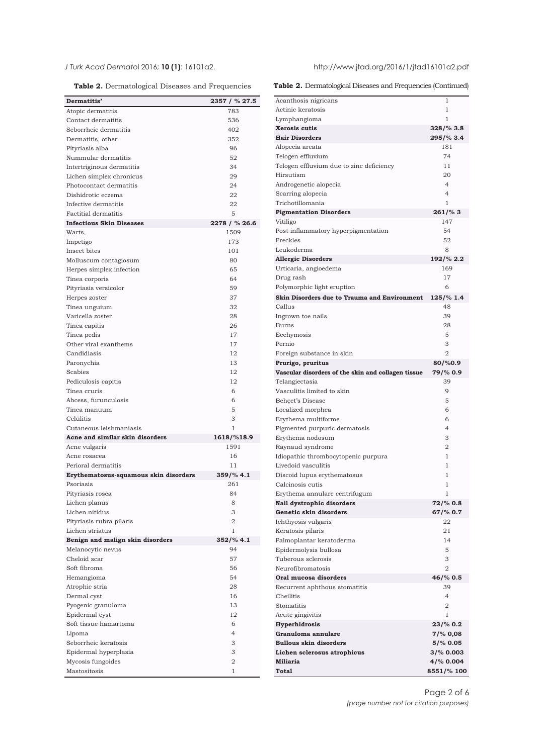**Table 2.** Dermatological Diseases and Frequencies

| Dermatitis'                           | 2357 / % 27.5        |
|---------------------------------------|----------------------|
| Atopic dermatitis                     | 783                  |
| Contact dermatitis                    | 536                  |
| Seborrheic dermatitis                 | 402                  |
| Dermatitis, other                     | 352                  |
| Pityriasis alba                       | 96                   |
| Nummular dermatitis                   | 52                   |
| Intertriginous dermatitis             | 34                   |
| Lichen simplex chronicus              | 29                   |
| Photocontact dermatitis               | 24                   |
| Dishidrotic eczema                    | 22                   |
| Infective dermatitis                  | 22                   |
| <b>Factitial dermatitis</b>           | 5                    |
| <b>Infectious Skin Diseases</b>       | 2278 / % 26.6        |
| Warts,                                | 1509                 |
| Impetigo                              | 173                  |
| Insect bites                          | 101                  |
| Molluscum contagiosum                 | 80                   |
| Herpes simplex infection              | 65                   |
| Tinea corporis                        | 64                   |
| Pityriasis versicolor                 | 59                   |
| Herpes zoster                         | 37                   |
| Tinea unguium                         | 32                   |
| Varicella zoster                      | 28                   |
| Tinea capitis                         | 26                   |
| Tinea pedis                           | 17                   |
| Other viral exanthems                 | 17                   |
| Candidiasis                           | 12                   |
| Paronychia                            | 13                   |
| Scabies                               | 12                   |
| Pediculosis capitis                   | 12                   |
| Tinea cruris                          | 6                    |
| Abcess, furunculosis                  | 6                    |
| Tinea manuum                          | 5                    |
| Celülitis                             | 3                    |
| Cutaneous leishmaniasis               | 1                    |
| Acne and similar skin disorders       | 1618/%18.9           |
| Acne vulgaris                         | 1591                 |
| Acne rosacea                          | 16                   |
| Perioral dermatitis                   | 11                   |
| Erythematosus-squamous skin disorders | $359\frac{6}{6}$ 4.1 |
| Psoriasis                             | 261                  |
| Pityriasis rosea                      | 84                   |
| Lichen planus                         | 8                    |
| Lichen nitidus                        | 3                    |
| Pityriasis rubra pilaris              | $\overline{2}$       |
| Lichen striatus                       | 1                    |
| Benign and malign skin disorders      | $352/\%$ 4.1         |
| Melanocytic nevus                     | 94                   |
| Cheloid scar                          | 57                   |
| Soft fibroma                          | 56                   |
| Hemangioma                            | 54                   |
| Atrophic stria                        | 28                   |
| Dermal cyst                           | 16                   |
| Pyogenic granuloma                    | 13                   |
| Epidermal cyst                        | 12                   |
| Soft tissue hamartoma                 | 6                    |
| Lipoma                                | $\overline{4}$       |
| Seborrheic keratosis                  | 3                    |
| Epidermal hyperplasia                 | 3                    |
| Mycosis fungoides                     | $\overline{2}$       |
| Mastositosis                          | 1                    |

<span id="page-1-0"></span>*J Turk Acad Dermato*l 2016; **10 (1)**: 16101a2. http://www.jtad.org/2016/1/jtad16101a2.pdf

**Table 2.** Dermatological Diseases and Frequencies (Continued)

| Acanthosis nigricans                               | 1                      |
|----------------------------------------------------|------------------------|
| Actinic keratosis                                  | $\mathbf{1}$           |
| Lymphangioma                                       | $\mathbf{1}$           |
| Xerosis cutis                                      | 328/% 3.8              |
| <b>Hair Disorders</b>                              | 295/% 3.4              |
| Alopecia areata                                    | 181                    |
| Telogen effluvium                                  | 74                     |
| Telogen effluvium due to zinc deficiency           | 11                     |
| Hirsutism                                          | 20                     |
| Androgenetic alopecia                              | $\overline{4}$         |
| Scarring alopecia                                  | $\overline{4}$         |
| Trichotillomania                                   | 1                      |
| <b>Pigmentation Disorders</b>                      | $261/\%3$              |
| Vitiligo                                           | 147                    |
| Post inflammatory hyperpigmentation                | 54                     |
| Freckles                                           | 52                     |
| Leukoderma                                         | 8                      |
| <b>Allergic Disorders</b>                          | 192/% 2.2              |
| Urticaria, angioedema                              | 169                    |
| Drug rash                                          | 17                     |
| Polymorphic light eruption                         | 6                      |
| Skin Disorders due to Trauma and Environment       | 125/% 1.4              |
| Callus                                             | 48                     |
| Ingrown toe nails                                  | 39                     |
| <b>Burns</b>                                       | 28                     |
| Ecchymosis                                         | 5                      |
| Pernio                                             | 3                      |
| Foreign substance in skin                          | $\overline{2}$         |
| Prurigo, pruritus                                  | 80/%0.9                |
| Vascular disorders of the skin and collagen tissue | 79/% 0.9               |
| Telangiectasia                                     | 39                     |
|                                                    |                        |
| Vasculitis limited to skin                         | 9                      |
| Behçet's Disease                                   | 5                      |
| Localized morphea                                  | 6                      |
| Erythema multiforme                                | 6                      |
| Pigmented purpuric dermatosis                      | $\overline{4}$         |
| Erythema nodosum                                   | 3                      |
| Raynaud syndrome                                   | 2                      |
| Idiopathic thrombocytopenic purpura                | 1                      |
| Livedoid vasculitis                                | 1                      |
| Discoid lupus erythematosus                        | 1                      |
| Calcinosis cutis                                   | 1                      |
| Erythema annulare centrifugum                      | 1                      |
| <b>Nail dystrophic disorders</b>                   | 72/% 0.8               |
| Genetic skin disorders                             | 67/% 0.7               |
| Ichthyosis vulgaris                                | 22                     |
| Keratosis pilaris                                  | 21                     |
| Palmoplantar keratoderma                           | 14                     |
| Epidermolysis bullosa                              | 5                      |
| Tuberous sclerosis                                 | 3                      |
| Neurofibromatosis                                  | $\overline{2}$         |
| Oral mucosa disorders                              | 46/% 0.5               |
| Recurrent aphthous stomatitis                      | 39                     |
| Cheilitis                                          | $\overline{4}$         |
| Stomatitis                                         | $\overline{2}$         |
| Acute gingivitis                                   | 1                      |
| Hyperhidrosis                                      | 23/% 0.2               |
| Granuloma annulare                                 | $7\frac{9}{6}$ 0,08    |
| <b>Bullous skin disorders</b>                      | 5/% 0.05               |
| Lichen sclerosus atrophicus<br><b>Miliaria</b>     | 3/% 0.003<br>4/% 0.004 |

Page 2 of 6 *(page number not for citation purposes)*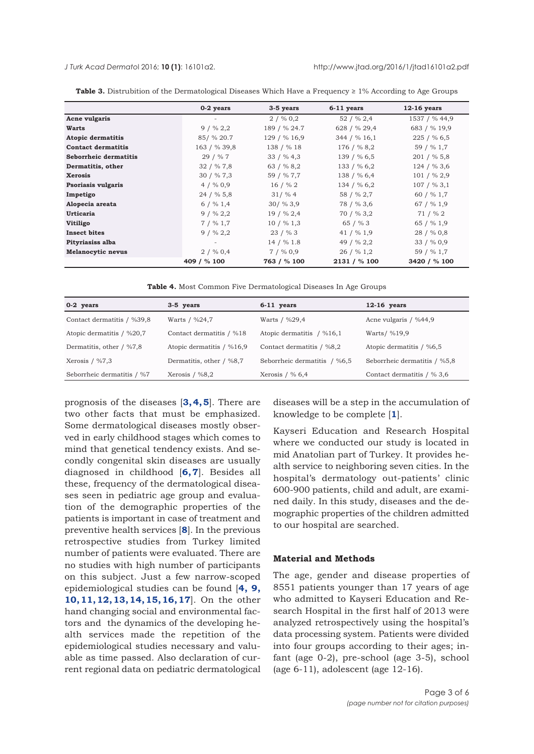<span id="page-2-0"></span>

|                           | 0-2 years    | 3-5 years     | $6-11$ years  | $12-16$ years |
|---------------------------|--------------|---------------|---------------|---------------|
| Acne vulgaris             |              | $2/$ % 0.2    | $52/$ % 2,4   | 1537 / % 44,9 |
| Warts                     | $9/$ % 2,2   | 189 / % 24.7  | 628 / % 29,4  | 683 / % 19,9  |
| <b>Atopic dermatitis</b>  | 85/ % 20.7   | 129 / % 16,9  | 344 / % 16,1  | 225 / % 6,5   |
| <b>Contact dermatitis</b> | 163 / % 39,8 | 138 / % 18    | 176 / % 8,2   | 59 / % 1,7    |
| Seborrheic dermatitis     | 29 / % 7     | $33 / \% 4,3$ | 139 / % 6,5   | 201 / % 5,8   |
| Dermatitis, other         | 32 / % 7,8   | 63 / % 8,2    | 133 / % 6,2   | 124 / % 3,6   |
| <b>Xerosis</b>            | 30 / % 7,3   | 59 / % 7,7    | 138 / % 6,4   | 101 / % 2,9   |
| Psoriasis vulgaris        | $4/$ % 0,9   | $16/$ % 2     | 134 / % 6,2   | 107 / % 3.1   |
| Impetigo                  | 24 / % 5,8   | $31/$ % 4     | 58 / % 2,7    | 60 / % 1,7    |
| Alopecia areata           | $6 / \% 1.4$ | $30/$ % 3,9   | 78 / % 3,6    | $67/$ % 1,9   |
| <b>Urticaria</b>          | $9/$ % 2,2   | $19/$ % 2,4   | 70 / % 3,2    | 71 / % 2      |
| Vitiligo                  | $7/$ % 1.7   | $10/$ % 1,3   | 65 / $% 3$    | 65 / % 1,9    |
| <b>Insect bites</b>       | $9/$ % 2,2   | $23/$ % 3     | 41 / $\%$ 1,9 | 28 / % 0.8    |
| Pityriasiss alba          |              | 14 / % 1.8    | 49 / % 2,2    | 33 / % 0,9    |
| <b>Melanocytic nevus</b>  | $2/$ % 0,4   | $7/$ % 0,9    | 26 / % 1,2    | 59 / % 1,7    |
|                           | 409 / % 100  | 763 / % 100   | 2131 / % 100  | 3420 / % 100  |

**Table 3.** Distrubition of the Dermatological Diseases Which Have a Frequency ≥ 1% According to Age Groups

**Table 4.** Most Common Five Dermatological Diseases In Age Groups

| 0-2 years                  | $3-5$ years               | $6-11$ years                 | $12-16$ years                |
|----------------------------|---------------------------|------------------------------|------------------------------|
| Contact dermatitis / %39,8 | Warts / %24,7             | Warts / %29,4                | Acne vulgaris / %44,9        |
| Atopic dermatitis / %20,7  | Contact dermatitis / %18  | Atopic dermatitis / %16,1    | Warts/ %19,9                 |
| Dermatitis, other / %7,8   | Atopic dermatitis / %16,9 | Contact dermatitis / %8,2    | Atopic dermatitis / %6,5     |
| Xerosis $/$ %7,3           | Dermatitis, other / %8,7  | Seborrheic dermatitis / %6,5 | Seborrheic dermatitis / %5,8 |
| Seborrheic dermatitis / %7 | Xerosis / $\%8,2$         | Xerosis $/$ % 6,4            | Contact dermatitis / % 3,6   |

prognosis of the diseases [**[3, 4, 5](#page-5-0)**]. There are two other facts that must be emphasized. Some dermatological diseases mostly observed in early childhood stages which comes to mind that genetical tendency exists. And secondly congenital skin diseases are usually diagnosed in childhood [**[6, 7](#page-5-0)**]. Besides all these, frequency of the dermatological diseases seen in pediatric age group and evaluation of the demographic properties of the patients is important in case of treatment and preventive health services [**[8](#page-5-0)**]. In the previous retrospective studies from Turkey limited number of patients were evaluated. There are no studies with high number of participants on this subject. Just a few narrow-scoped epidemiological studies can be found [**[4,](#page-5-0) [9,](#page-5-0) [10, 11, 12, 13, 14, 15, 16, 17](#page-5-0)**]. On the other hand changing social and environmental factors and the dynamics of the developing health services made the repetition of the epidemiological studies necessary and valuable as time passed. Also declaration of current regional data on pediatric dermatological

diseases will be a step in the accumulation of knowledge to be complete [**1**].

Kayseri Education and Research Hospital where we conducted our study is located in mid Anatolian part of Turkey. It provides health service to neighboring seven cities. In the hospital's dermatology out-patients' clinic 600-900 patients, child and adult, are examined daily. In this study, diseases and the demographic properties of the children admitted to our hospital are searched.

### **Material and Methods**

The age, gender and disease properties of 8551 patients younger than 17 years of age who admitted to Kayseri Education and Research Hospital in the first half of 2013 were analyzed retrospectively using the hospital's data processing system. Patients were divided into four groups according to their ages; infant (age 0-2), pre-school (age 3-5), school (age 6-11), adolescent (age 12-16).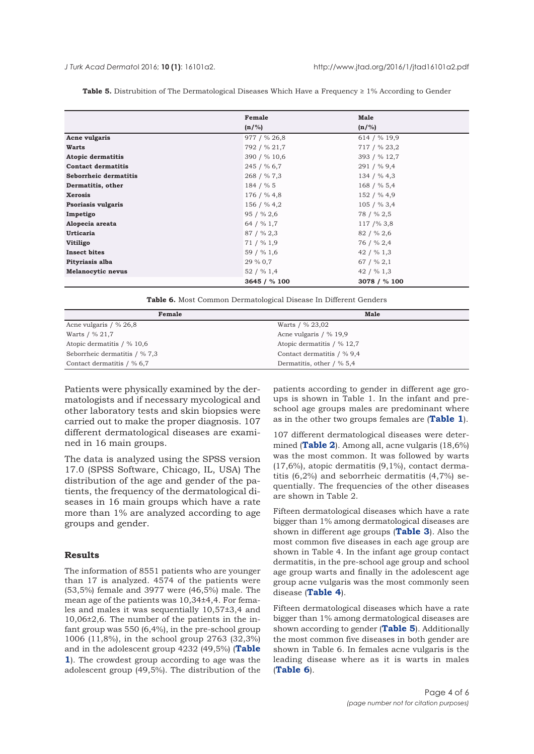|                           | Female       | Male          |
|---------------------------|--------------|---------------|
|                           | $(n/\%)$     | $(n/\%)$      |
| Acne vulgaris             | 977 / % 26,8 | 614 / % 19,9  |
| Warts                     | 792 / % 21,7 | 717 / % 23,2  |
| <b>Atopic dermatitis</b>  | 390 / % 10,6 | 393 / % 12,7  |
| <b>Contact dermatitis</b> | 245 / % 6,7  | 291 / % 9,4   |
| Seborrheic dermatitis     | 268 / %7,3   | 134 / %4,3    |
| Dermatitis, other         | 184 / % 5    | 168 / % 5,4   |
| <b>Xerosis</b>            | 176 / % 4,8  | 152 / % 4,9   |
| Psoriasis vulgaris        | 156 / % 4,2  | 105 / % 3,4   |
| Impetigo                  | 95 / % 2,6   | 78 / % 2,5    |
| Alopecia areata           | 64 / % 1,7   | 117/%3,8      |
| <b>Urticaria</b>          | 87 / % 2,3   | 82 / % 2,6    |
| Vitiligo                  | $71/$ % 1,9  | 76 / % 2,4    |
| <b>Insect bites</b>       | 59 / % 1,6   | 42 / $\%$ 1,3 |
| Pityriasis alba           | 29 % 0,7     | 67 / $\%$ 2,1 |
| <b>Melanocytic nevus</b>  | 52 / % 1,4   | 42 / $\%$ 1,3 |
|                           | 3645 / % 100 | 3078 / % 100  |

Table 5. Distrubition of The Dermatological Diseases Which Have a Frequency ≥ 1% According to Gender

**Table 6.** Most Common Dermatological Disease In Different Genders

| Female                       | <b>Male</b>                |
|------------------------------|----------------------------|
| Acne vulgaris $/$ % 26,8     | Warts / % 23,02            |
| Warts / % 21,7               | Acne vulgaris / % 19,9     |
| Atopic dermatitis / % 10,6   | Atopic dermatitis / % 12,7 |
| Seborrheic dermatitis / %7,3 | Contact dermatitis / % 9,4 |
| Contact dermatitis / % 6,7   | Dermatitis, other / % 5,4  |

Patients were physically examined by the dermatologists and if necessary mycological and other laboratory tests and skin biopsies were carried out to make the proper diagnosis. 107 different dermatological diseases are examined in 16 main groups.

The data is analyzed using the SPSS version 17.0 (SPSS Software, Chicago, IL, USA) The distribution of the age and gender of the patients, the frequency of the dermatological diseases in 16 main groups which have a rate more than 1% are analyzed according to age groups and gender.

### **Results**

The information of 8551 patients who are younger than 17 is analyzed. 4574 of the patients were (53,5%) female and 3977 were (46,5%) male. The mean age of the patients was 10,34±4,4. For females and males it was sequentially 10,57±3,4 and 10,06±2,6. The number of the patients in the infant group was 550 (6,4%), in the pre-school group 1006 (11,8%), in the school group 2763 (32,3%) and in the adolescent group 4232 (49,5%) (**Table 1**[\). The crowdest group according to age was the](#page-0-0) adolescent group (49,5%). The distribution of the

patients according to gender in different age groups is shown in Table 1. In the infant and preschool age groups males are predominant where as in the other two groups females are (**[Table 1](#page-0-0)**).

107 different dermatological diseases were determined (**[Table 2](#page-1-0)**). Among all, acne vulgaris (18,6%) was the most common. It was followed by warts (17,6%), atopic dermatitis (9,1%), contact dermatitis (6,2%) and seborrheic dermatitis (4,7%) sequentially. The frequencies of the other diseases are shown in Table 2.

Fifteen dermatological diseases which have a rate bigger than 1% among dermatological diseases are shown in different age groups (**[Table 3](#page-2-0)**). Also the most common five diseases in each age group are shown in Table 4. In the infant age group contact dermatitis, in the pre-school age group and school age group warts and finally in the adolescent age group acne vulgaris was the most commonly seen disease (**[Table 4](#page-2-0)**).

Fifteen dermatological diseases which have a rate bigger than 1% among dermatological diseases are shown according to gender (**Table 5**). Additionally the most common five diseases in both gender are shown in Table 6. In females acne vulgaris is the leading disease where as it is warts in males (**Table 6**).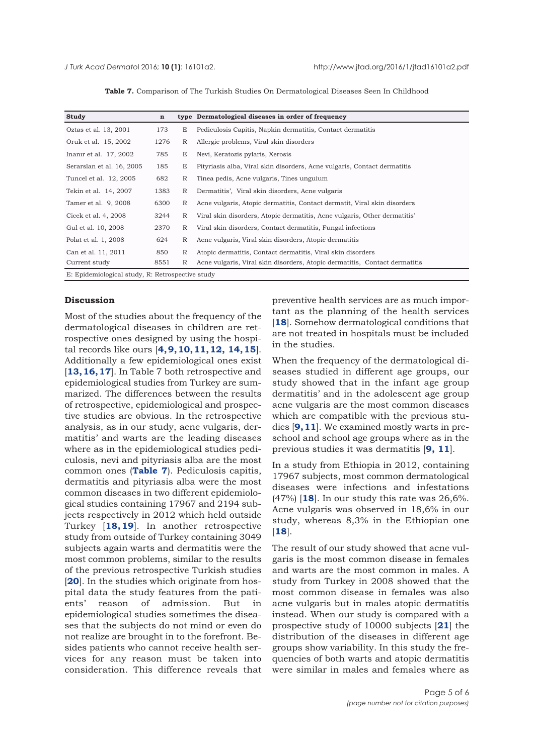|  |  |  |  |  |  | Table 7. Comparison of The Turkish Studies On Dermatological Diseases Seen In Childhood |  |  |  |
|--|--|--|--|--|--|-----------------------------------------------------------------------------------------|--|--|--|
|--|--|--|--|--|--|-----------------------------------------------------------------------------------------|--|--|--|

| Study                                            | $\mathbf n$ |              | type Dermatological diseases in order of frequency                         |
|--------------------------------------------------|-------------|--------------|----------------------------------------------------------------------------|
| Oztas et al. 13, 2001                            | 173         | E            | Pediculosis Capitis, Napkin dermatitis, Contact dermatitis                 |
| Oruk et al. 15, 2002                             | 1276        | R            | Allergic problems, Viral skin disorders                                    |
| Inanir et al. 17, 2002                           | 785         | E            | Nevi, Keratozis pylaris, Xerosis                                           |
| Serarslan et al. 16, 2005                        | 185         | E            | Pityriasis alba, Viral skin disorders, Acne vulgaris, Contact dermatitis   |
| Tuncel et al. 12, 2005                           | 682         | R            | Tinea pedis, Acne vulgaris, Tines unguium                                  |
| Tekin et al. 14, 2007                            | 1383        | $\mathbb{R}$ | Dermatitis', Viral skin disorders, Acne vulgaris                           |
| Tamer et al. 9, 2008                             | 6300        | R            | Acne vulgaris, Atopic dermatitis, Contact dermatit, Viral skin disorders   |
| Cicek et al. 4, 2008                             | 3244        | R            | Viral skin disorders, Atopic dermatitis, Acne vulgaris, Other dermatitis'  |
| Gul et al. 10, 2008                              | 2370        | R            | Viral skin disorders, Contact dermatitis, Fungal infections                |
| Polat et al. 1, 2008                             | 624         | R            | Acne vulgaris, Viral skin disorders, Atopic dermatitis                     |
| Can et al. 11, 2011                              | 850         | R            | Atopic dermatitis, Contact dermatitis, Viral skin disorders                |
| Current study                                    | 8551        | R            | Acne vulgaris, Viral skin disorders, Atopic dermatitis, Contact dermatitis |
| E: Epidemiological study, R: Retrospective study |             |              |                                                                            |

### **Discussion**

Most of the studies about the frequency of the dermatological diseases in children are retrospective ones designed by using the hospital records like ours [**[4, 9, 10, 11, 12, 14, 15](#page-5-0)**]. Additionally a few epidemiological ones exist [**[13, 16, 17](#page-5-0)**]. In Table 7 both retrospective and epidemiological studies from Turkey are summarized. The differences between the results of retrospective, epidemiological and prospective studies are obvious. In the retrospective analysis, as in our study, acne vulgaris, dermatitis' and warts are the leading diseases where as in the epidemiological studies pediculosis, nevi and pityriasis alba are the most common ones (**Table 7**). Pediculosis capitis, dermatitis and pityriasis alba were the most common diseases in two different epidemiological studies containing 17967 and 2194 subjects respectively in 2012 which held outside Turkey [**[18, 19](#page-5-0)**]. In another retrospective study from outside of Turkey containing 3049 subjects again warts and dermatitis were the most common problems, similar to the results of the previous retrospective Turkish studies [[20](#page-5-0)]. In the studies which originate from hospital data the study features from the patients' reason of admission. But in epidemiological studies sometimes the diseases that the subjects do not mind or even do not realize are brought in to the forefront. Besides patients who cannot receive health services for any reason must be taken into consideration. This difference reveals that

preventive health services are as much important as the planning of the health services [[18](#page-5-0)]. Somehow dermatological conditions that are not treated in hospitals must be included in the studies.

When the frequency of the dermatological diseases studied in different age groups, our study showed that in the infant age group dermatitis' and in the adolescent age group acne vulgaris are the most common diseases which are compatible with the previous studies [**[9, 11](#page-5-0)**]. We examined mostly warts in preschool and school age groups where as in the previous studies it was dermatitis [**[9, 11](#page-5-0)**].

In a study from Ethiopia in 2012, containing 17967 subjects, most common dermatological diseases were infections and infestations (47%) [**[18](#page-5-0)**]. In our study this rate was 26,6%. Acne vulgaris was observed in 18,6% in our study, whereas 8,3% in the Ethiopian one [**[18](#page-5-0)**].

The result of our study showed that acne vulgaris is the most common disease in females and warts are the most common in males. A study from Turkey in 2008 showed that the most common disease in females was also acne vulgaris but in males atopic dermatitis instead. When our study is compared with a prospective study of 10000 subjects [**[21](#page-5-0)**] the distribution of the diseases in different age groups show variability. In this study the frequencies of both warts and atopic dermatitis were similar in males and females where as